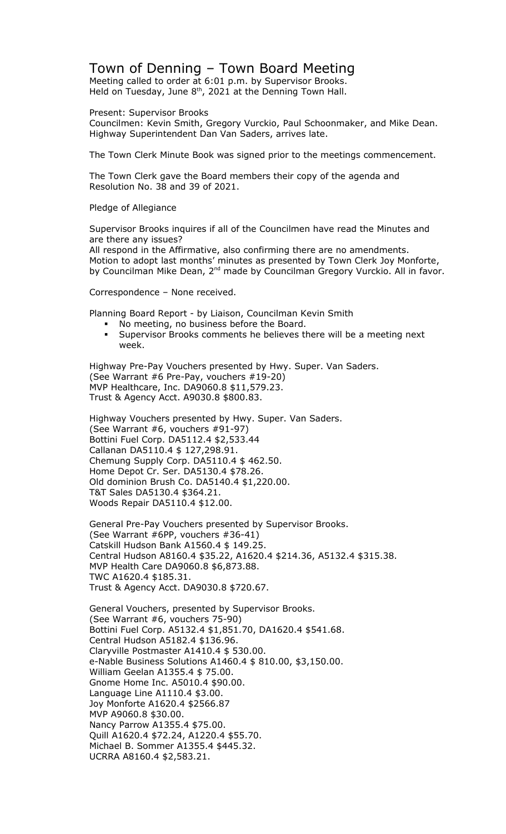## Town of Denning – Town Board Meeting

Meeting called to order at 6:01 p.m. by Supervisor Brooks. Held on Tuesday, June  $8<sup>th</sup>$ , 2021 at the Denning Town Hall.

Present: Supervisor Brooks

Councilmen: Kevin Smith, Gregory Vurckio, Paul Schoonmaker, and Mike Dean. Highway Superintendent Dan Van Saders, arrives late.

The Town Clerk Minute Book was signed prior to the meetings commencement.

The Town Clerk gave the Board members their copy of the agenda and Resolution No. 38 and 39 of 2021.

Pledge of Allegiance

Supervisor Brooks inquires if all of the Councilmen have read the Minutes and are there any issues?

All respond in the Affirmative, also confirming there are no amendments. Motion to adopt last months' minutes as presented by Town Clerk Joy Monforte, by Councilman Mike Dean, 2<sup>nd</sup> made by Councilman Gregory Vurckio. All in favor.

Correspondence – None received.

Planning Board Report - by Liaison, Councilman Kevin Smith

- No meeting, no business before the Board.
- Supervisor Brooks comments he believes there will be a meeting next week.

Highway Pre-Pay Vouchers presented by Hwy. Super. Van Saders. (See Warrant #6 Pre-Pay, vouchers #19-20) MVP Healthcare, Inc. DA9060.8 \$11,579.23. Trust & Agency Acct. A9030.8 \$800.83.

Highway Vouchers presented by Hwy. Super. Van Saders. (See Warrant #6, vouchers #91-97) Bottini Fuel Corp. DA5112.4 \$2,533.44 Callanan DA5110.4 \$ 127,298.91. Chemung Supply Corp. DA5110.4 \$ 462.50. Home Depot Cr. Ser. DA5130.4 \$78.26. Old dominion Brush Co. DA5140.4 \$1,220.00. T&T Sales DA5130.4 \$364.21. Woods Repair DA5110.4 \$12.00.

General Pre-Pay Vouchers presented by Supervisor Brooks. (See Warrant #6PP, vouchers #36-41) Catskill Hudson Bank A1560.4 \$ 149.25. Central Hudson A8160.4 \$35.22, A1620.4 \$214.36, A5132.4 \$315.38. MVP Health Care DA9060.8 \$6,873.88. TWC A1620.4 \$185.31. Trust & Agency Acct. DA9030.8 \$720.67.

General Vouchers, presented by Supervisor Brooks. (See Warrant #6, vouchers 75-90) Bottini Fuel Corp. A5132.4 \$1,851.70, DA1620.4 \$541.68. Central Hudson A5182.4 \$136.96. Claryville Postmaster A1410.4 \$ 530.00. e-Nable Business Solutions A1460.4 \$ 810.00, \$3,150.00. William Geelan A1355.4 \$ 75.00. Gnome Home Inc. A5010.4 \$90.00. Language Line A1110.4 \$3.00. Joy Monforte A1620.4 \$2566.87 MVP A9060.8 \$30.00. Nancy Parrow A1355.4 \$75.00. Quill A1620.4 \$72.24, A1220.4 \$55.70. Michael B. Sommer A1355.4 \$445.32. UCRRA A8160.4 \$2,583.21.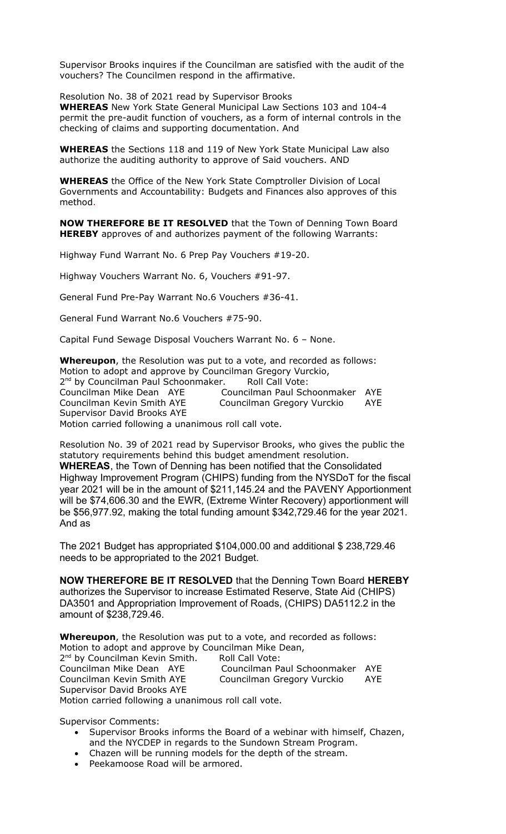Supervisor Brooks inquires if the Councilman are satisfied with the audit of the vouchers? The Councilmen respond in the affirmative.

Resolution No. 38 of 2021 read by Supervisor Brooks

**WHEREAS** New York State General Municipal Law Sections 103 and 104-4 permit the pre-audit function of vouchers, as a form of internal controls in the checking of claims and supporting documentation. And

**WHEREAS** the Sections 118 and 119 of New York State Municipal Law also authorize the auditing authority to approve of Said vouchers. AND

**WHEREAS** the Office of the New York State Comptroller Division of Local Governments and Accountability: Budgets and Finances also approves of this method.

**NOW THEREFORE BE IT RESOLVED** that the Town of Denning Town Board **HEREBY** approves of and authorizes payment of the following Warrants:

Highway Fund Warrant No. 6 Prep Pay Vouchers #19-20.

Highway Vouchers Warrant No. 6, Vouchers #91-97.

General Fund Pre-Pay Warrant No.6 Vouchers #36-41.

General Fund Warrant No.6 Vouchers #75-90.

Capital Fund Sewage Disposal Vouchers Warrant No. 6 – None.

**Whereupon**, the Resolution was put to a vote, and recorded as follows: Motion to adopt and approve by Councilman Gregory Vurckio, 2<sup>nd</sup> by Councilman Paul Schoonmaker. Roll Call Vote: Councilman Mike Dean AYE Councilman Paul Schoonmaker AYE Councilman Kevin Smith AYE Councilman Gregory Vurckio AYE Supervisor David Brooks AYE Motion carried following a unanimous roll call vote.

Resolution No. 39 of 2021 read by Supervisor Brooks, who gives the public the statutory requirements behind this budget amendment resolution. **WHEREAS**, the Town of Denning has been notified that the Consolidated Highway Improvement Program (CHIPS) funding from the NYSDoT for the fiscal year 2021 will be in the amount of \$211,145.24 and the PAVENY Apportionment will be \$74,606.30 and the EWR, (Extreme Winter Recovery) apportionment will be \$56,977.92, making the total funding amount \$342,729.46 for the year 2021. And as

The 2021 Budget has appropriated \$104,000.00 and additional \$ 238,729.46 needs to be appropriated to the 2021 Budget.

**NOW THEREFORE BE IT RESOLVED** that the Denning Town Board **HEREBY**  authorizes the Supervisor to increase Estimated Reserve, State Aid (CHIPS) DA3501 and Appropriation Improvement of Roads, (CHIPS) DA5112.2 in the amount of \$238,729.46.

**Whereupon**, the Resolution was put to a vote, and recorded as follows: Motion to adopt and approve by Councilman Mike Dean, 2<sup>nd</sup> by Councilman Kevin Smith. Roll Call Vote: Councilman Mike Dean AYE Councilman Paul Schoonmaker AYE Councilman Kevin Smith AYE Councilman Gregory Vurckio AYE Supervisor David Brooks AYE Motion carried following a unanimous roll call vote.

Supervisor Comments:

- Supervisor Brooks informs the Board of a webinar with himself, Chazen, and the NYCDEP in regards to the Sundown Stream Program.
- Chazen will be running models for the depth of the stream.
- Peekamoose Road will be armored.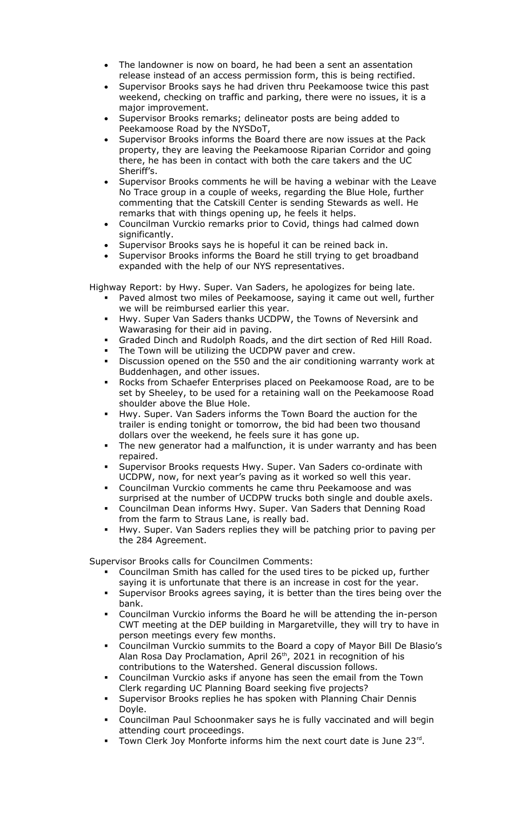- The landowner is now on board, he had been a sent an assentation release instead of an access permission form, this is being rectified.
- Supervisor Brooks says he had driven thru Peekamoose twice this past weekend, checking on traffic and parking, there were no issues, it is a major improvement.
- Supervisor Brooks remarks; delineator posts are being added to Peekamoose Road by the NYSDoT,
- Supervisor Brooks informs the Board there are now issues at the Pack property, they are leaving the Peekamoose Riparian Corridor and going there, he has been in contact with both the care takers and the UC Sheriff's.
- Supervisor Brooks comments he will be having a webinar with the Leave No Trace group in a couple of weeks, regarding the Blue Hole, further commenting that the Catskill Center is sending Stewards as well. He remarks that with things opening up, he feels it helps.
- Councilman Vurckio remarks prior to Covid, things had calmed down significantly.
- Supervisor Brooks says he is hopeful it can be reined back in.
- Supervisor Brooks informs the Board he still trying to get broadband expanded with the help of our NYS representatives.

Highway Report: by Hwy. Super. Van Saders, he apologizes for being late.

- Paved almost two miles of Peekamoose, saying it came out well, further we will be reimbursed earlier this year.
- Hwy. Super Van Saders thanks UCDPW, the Towns of Neversink and Wawarasing for their aid in paving.
- Graded Dinch and Rudolph Roads, and the dirt section of Red Hill Road.
- The Town will be utilizing the UCDPW paver and crew.
- Discussion opened on the 550 and the air conditioning warranty work at Buddenhagen, and other issues.
- Rocks from Schaefer Enterprises placed on Peekamoose Road, are to be set by Sheeley, to be used for a retaining wall on the Peekamoose Road shoulder above the Blue Hole.
- Hwy. Super. Van Saders informs the Town Board the auction for the trailer is ending tonight or tomorrow, the bid had been two thousand dollars over the weekend, he feels sure it has gone up.
- The new generator had a malfunction, it is under warranty and has been repaired.
- Supervisor Brooks requests Hwy. Super. Van Saders co-ordinate with UCDPW, now, for next year's paving as it worked so well this year.
- Councilman Vurckio comments he came thru Peekamoose and was surprised at the number of UCDPW trucks both single and double axels.
- Councilman Dean informs Hwy. Super. Van Saders that Denning Road from the farm to Straus Lane, is really bad.
- Hwy. Super. Van Saders replies they will be patching prior to paving per the 284 Agreement.

Supervisor Brooks calls for Councilmen Comments:

- Councilman Smith has called for the used tires to be picked up, further saying it is unfortunate that there is an increase in cost for the year.
- Supervisor Brooks agrees saying, it is better than the tires being over the bank.
- Councilman Vurckio informs the Board he will be attending the in-person CWT meeting at the DEP building in Margaretville, they will try to have in person meetings every few months.
- Councilman Vurckio summits to the Board a copy of Mayor Bill De Blasio's Alan Rosa Day Proclamation, April 26<sup>th</sup>, 2021 in recognition of his contributions to the Watershed. General discussion follows.
- Councilman Vurckio asks if anyone has seen the email from the Town Clerk regarding UC Planning Board seeking five projects?
- Supervisor Brooks replies he has spoken with Planning Chair Dennis Doyle.
- Councilman Paul Schoonmaker says he is fully vaccinated and will begin attending court proceedings.
- Town Clerk Joy Monforte informs him the next court date is June 23rd.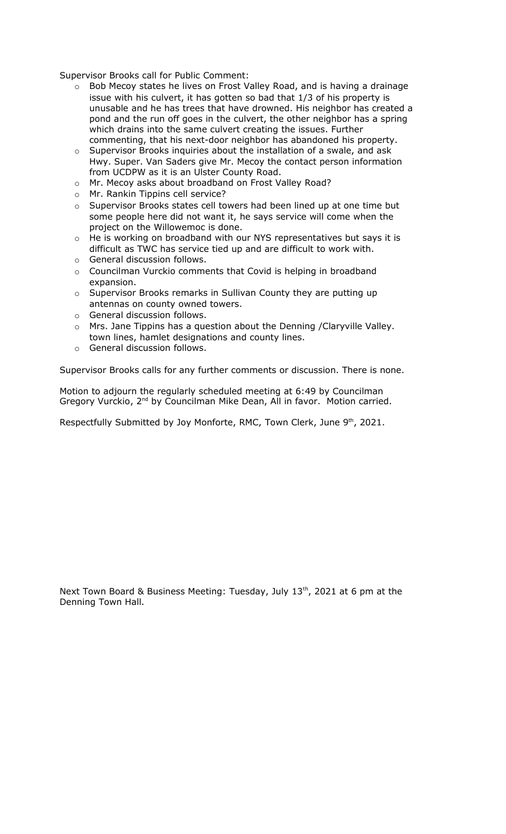Supervisor Brooks call for Public Comment:

- $\circ$  Bob Mecoy states he lives on Frost Valley Road, and is having a drainage issue with his culvert, it has gotten so bad that 1/3 of his property is unusable and he has trees that have drowned. His neighbor has created a pond and the run off goes in the culvert, the other neighbor has a spring which drains into the same culvert creating the issues. Further commenting, that his next-door neighbor has abandoned his property.
- $\circ$  Supervisor Brooks inquiries about the installation of a swale, and ask Hwy. Super. Van Saders give Mr. Mecoy the contact person information from UCDPW as it is an Ulster County Road.
- o Mr. Mecoy asks about broadband on Frost Valley Road?
- o Mr. Rankin Tippins cell service?
- o Supervisor Brooks states cell towers had been lined up at one time but some people here did not want it, he says service will come when the project on the Willowemoc is done.
- o He is working on broadband with our NYS representatives but says it is difficult as TWC has service tied up and are difficult to work with.
- o General discussion follows.
- o Councilman Vurckio comments that Covid is helping in broadband expansion.
- o Supervisor Brooks remarks in Sullivan County they are putting up antennas on county owned towers.
- o General discussion follows.
- o Mrs. Jane Tippins has a question about the Denning /Claryville Valley. town lines, hamlet designations and county lines.
- o General discussion follows.

Supervisor Brooks calls for any further comments or discussion. There is none.

Motion to adjourn the regularly scheduled meeting at 6:49 by Councilman Gregory Vurckio, 2<sup>nd</sup> by Councilman Mike Dean, All in favor. Motion carried.

Respectfully Submitted by Joy Monforte, RMC, Town Clerk, June  $9<sup>th</sup>$ , 2021.

Next Town Board & Business Meeting: Tuesday, July  $13<sup>th</sup>$ , 2021 at 6 pm at the Denning Town Hall.